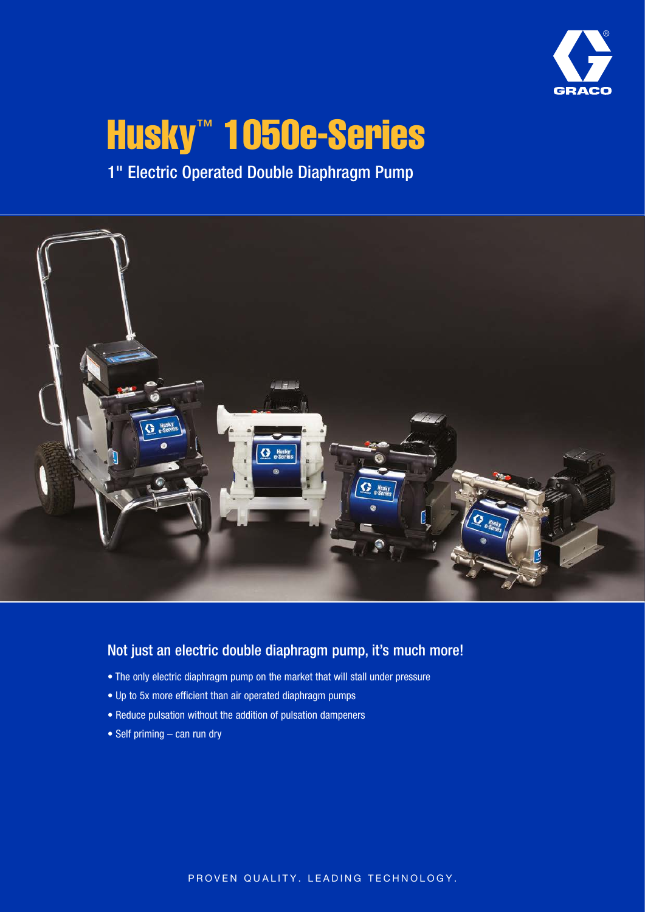

# Husky™ 1050e-Series

# 1" Electric Operated Double Diaphragm Pump



### Not just an electric double diaphragm pump, it's much more!

- The only electric diaphragm pump on the market that will stall under pressure
- Up to 5x more efficient than air operated diaphragm pumps
- Reduce pulsation without the addition of pulsation dampeners
- Self priming can run dry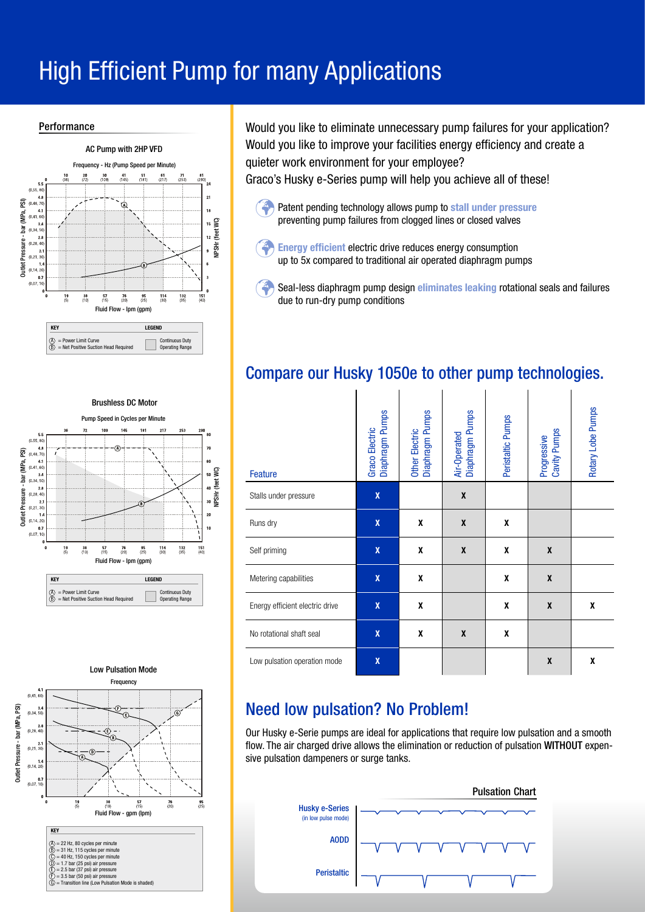# High Efficient Pump for many Applications

**Performance** 



Would you like to eliminate unnecessary pump failures for your application? Would you like to improve your facilities energy efficiency and create a quieter work environment for your employee?

Graco's Husky e-Series pump will help you achieve all of these!

- Patent pending technology allows pump to stall under pressure preventing pump failures from clogged lines or closed valves
- **Energy efficient electric drive reduces energy consumption** up to 5x compared to traditional air operated diaphragm pumps
- Seal-less diaphragm pump design *eliminates leaking* rotational seals and failures due to run-dry pump conditions

# Compare our Husky 1050e to other pump technologies.

| Feature                         | Graco Electric<br>Diaphragm Pumps | Diaphragm Pumps<br>Other Electric | Air-Operated<br>Diaphragm Pumps | Peristaltic Pumps | Cavity Pumps<br>Progressive | Rotary Lobe Pumps |
|---------------------------------|-----------------------------------|-----------------------------------|---------------------------------|-------------------|-----------------------------|-------------------|
| Stalls under pressure           | $\boldsymbol{\mathsf{X}}$         |                                   | $\boldsymbol{x}$                |                   |                             |                   |
| Runs dry                        | $\boldsymbol{X}$                  | X                                 | $\boldsymbol{x}$                | X                 |                             |                   |
| Self priming                    | $\boldsymbol{\mathsf{X}}$         | X                                 | X                               | X                 | X                           |                   |
| Metering capabilities           | $\boldsymbol{\mathsf{X}}$         | X                                 |                                 | X                 | X                           |                   |
| Energy efficient electric drive | $\boldsymbol{X}$                  | X                                 |                                 | X                 | X                           | X                 |
| No rotational shaft seal        | X                                 | X                                 | X                               | χ                 |                             |                   |
| Low pulsation operation mode    | $\mathbf x$                       |                                   |                                 |                   | $\pmb{\mathsf{X}}$          | X                 |

# Need low pulsation? No Problem!

Our Husky e-Serie pumps are ideal for applications that require low pulsation and a smooth flow. The air charged drive allows the elimination or reduction of pulsation WITHOUT expensive pulsation dampeners or surge tanks.



#### Brushless DC Motor Brushless DC Motor Pump Speed in Cycles per Minute Pump Speed in Cycles per Minute 100 145 181  $217$  $5.5$ <br>(0.55, 80  $4.8$ A  $70$ Pressure - bar (MPa, PSI) Outlet Pressure - bar (MPa, PSI)  $(0.48, 7)$  $(0,48,70)$ <br>  $(0.41,60)$  $60$ Outlet Pressure - PSI (MPa, bar) ⊕<br>(feet WC)  $34$ <br>(0.34, 50) NPSHr (feet WC)NPSHR (Feet WC)  $2.8$  $(0.28.4)$ **NPSHr** 30  $\frac{2}{(0.21, 30)}$ Dutlet  $\overline{20}$  $14$ <br>(0.14, 20  $\alpha$  $\frac{1}{2}$  $(0.07, 1)$  $\frac{19}{(5)}$  $\frac{38}{(10)}$  $\frac{57}{(15)}$  $\frac{76}{(20)}$  $\frac{95}{(25)}$  $\frac{114}{(30)}$  $\frac{132}{(35)}$  $\frac{151}{(40)}$ Fluid Flow - lpm (gpm) **KEY** LEGEND **Duty Duty 20** Operating Range i. = Net Positive Suction Head Required A) = Power Limit Curve<br>B) = Net Positive Suction Head Required Continuous Duty<br>Operating Range

Low Pulsation Mode Low Pulsation Mode Frequency Frequency  $(0.41, 60)$ Outlet Pressure - bar (MPa, PSI) Outlet Pressure - bar (MPa, PSI)  $\frac{3}{(0.34, 50)}$ .<br>≺c  $\sqrt{6}$ let Pressure - bar (MPa, P  $2.8$ <br>(0.28, 40) Œ ั∕ล`  $\frac{2}{(0.21, 30)}$  $\cdot$ <sub>(D)</sub>  $\begin{array}{c} 1, \\ (0.14, 20) \end{array}$  $\frac{0}{10}$  $(0.07)$  $\frac{19}{(5)}$  $\frac{38}{(10)}$  $\frac{57}{15}$  $\frac{76}{(20)}$  $^{95}_{125}$ **Fluid Flow** gpm (lpm)  $\overline{\phantom{a}}$ **KFY** A = 22 Hz, 80 cycles per minute D = 25 psi (1.7 bar) air pressure  $\widehat{A}$ ) = 22 Hz, 80 cycles per minute<br>  $\widehat{B}$ ) = 31 Hz, 115 cycles per minute<br>  $\widehat{C}$ ) = 40 Hz, 150 cycles per minute<br>  $\widehat{D}$ ) = 1.7 bar (25 ps) air pressure<br>  $\widehat{E}$ ) = 2.5 bar (37 ps) air pressure<br>  $\widehat{F}$ ) = ycles per minute<br>cycles per minute = 3.5 bar (50 psi) air pressure<br>= Transition line (Low Pulsation Mode is shaded)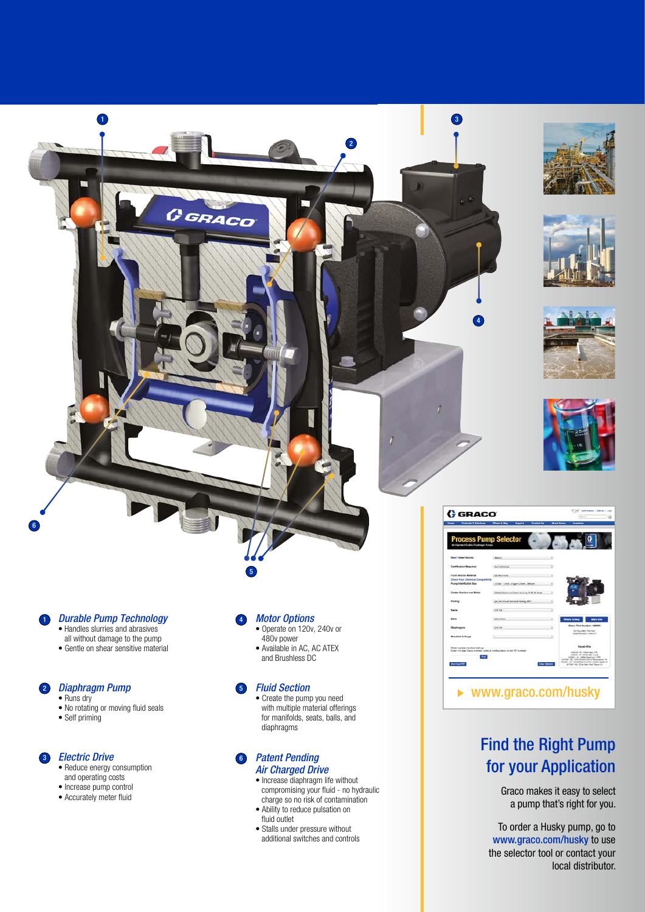

3

4











# Find the Right Pump for your Application

Graco makes it easy to select a pump that's right for you.

To order a Husky pump, go to www.graco.com/husky to use the selector tool or contact your local distributor.

#### • Handles slurries and abrasives all without damage to the pump

 $\mathbf 0$ 

• Gentle on shear sensitive material

*Durable Pump Technology*

### **Diaphragm Pump** 5

• Runs dry

6

1

• No rotating or moving fluid seals • Self priming

#### *Electric Drive* 3

- Reduce energy consumption and operating costs
- Increase pump control
- Accurately meter fluid

#### *Motor Options* 4

5

GERACO

• Operate on 120v, 240v or 480v power • Available in AC, AC ATEX and Brushless DC

### *Fluid Section*

• Create the pump you need with multiple material offerings for manifolds, seats, balls, and diaphragms

### *Patent Pending*  6 *Air Charged Drive*

- Increase diaphragm life without compromising your fluid - no hydraulic
- charge so no risk of contamination • Ability to reduce pulsation on
- fluid outlet
- Stalls under pressure without additional switches and controls